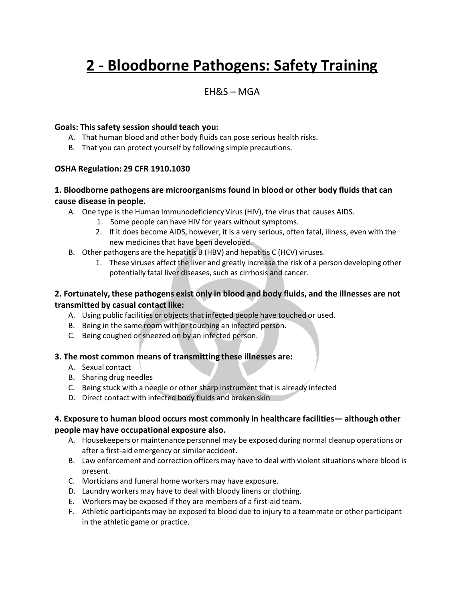# **2 - Bloodborne Pathogens: Safety Training**

# EH&S – MGA

#### **Goals: This safety session should teach you:**

- A. That human blood and other body fluids can pose serious health risks.
- B. That you can protect yourself by following simple precautions.

#### **OSHA Regulation: 29 CFR 1910.1030**

# **1. Bloodborne pathogens are microorganisms found in blood or other body fluids that can cause disease in people.**

- A. One type is the Human Immunodeficiency Virus (HIV), the virus that causes AIDS.
	- 1. Some people can have HIV for years without symptoms.
		- 2. If it does become AIDS, however, it is a very serious, often fatal, illness, even with the new medicines that have been developed.
- B. Other pathogens are the hepatitis B (HBV) and hepatitis C (HCV) viruses.
	- 1. These viruses affect the liver and greatly increase the risk of a person developing other potentially fatal liver diseases, such as cirrhosis and cancer.

# **2. Fortunately,these pathogens exist only in blood and body fluids, and the illnesses are not transmitted by casual contact like:**

- A. Using public facilities or objects that infected people have touched or used.
- B. Being in the same room with or touching an infected person.
- C. Being coughed or sneezed on by an infected person.

# **3. The most common means of transmitting these illnesses are:**

- A. Sexual contact
- B. Sharing drug needles
- C. Being stuck with a needle or other sharp instrument that is already infected
- D. Direct contact with infected body fluids and broken skin

#### **4. Exposure to human blood occurs most commonly in healthcare facilities— although other people may have occupational exposure also.**

- A. Housekeepers or maintenance personnel may be exposed during normal cleanup operations or after a first-aid emergency or similar accident.
- B. Law enforcement and correction officers may have to deal with violent situations where blood is present.
- C. Morticians and funeral home workers may have exposure.
- D. Laundry workers may have to deal with bloody linens or clothing.
- E. Workers may be exposed if they are members of a first-aid team.
- F. Athletic participants may be exposed to blood due to injury to a teammate or other participant in the athletic game or practice.